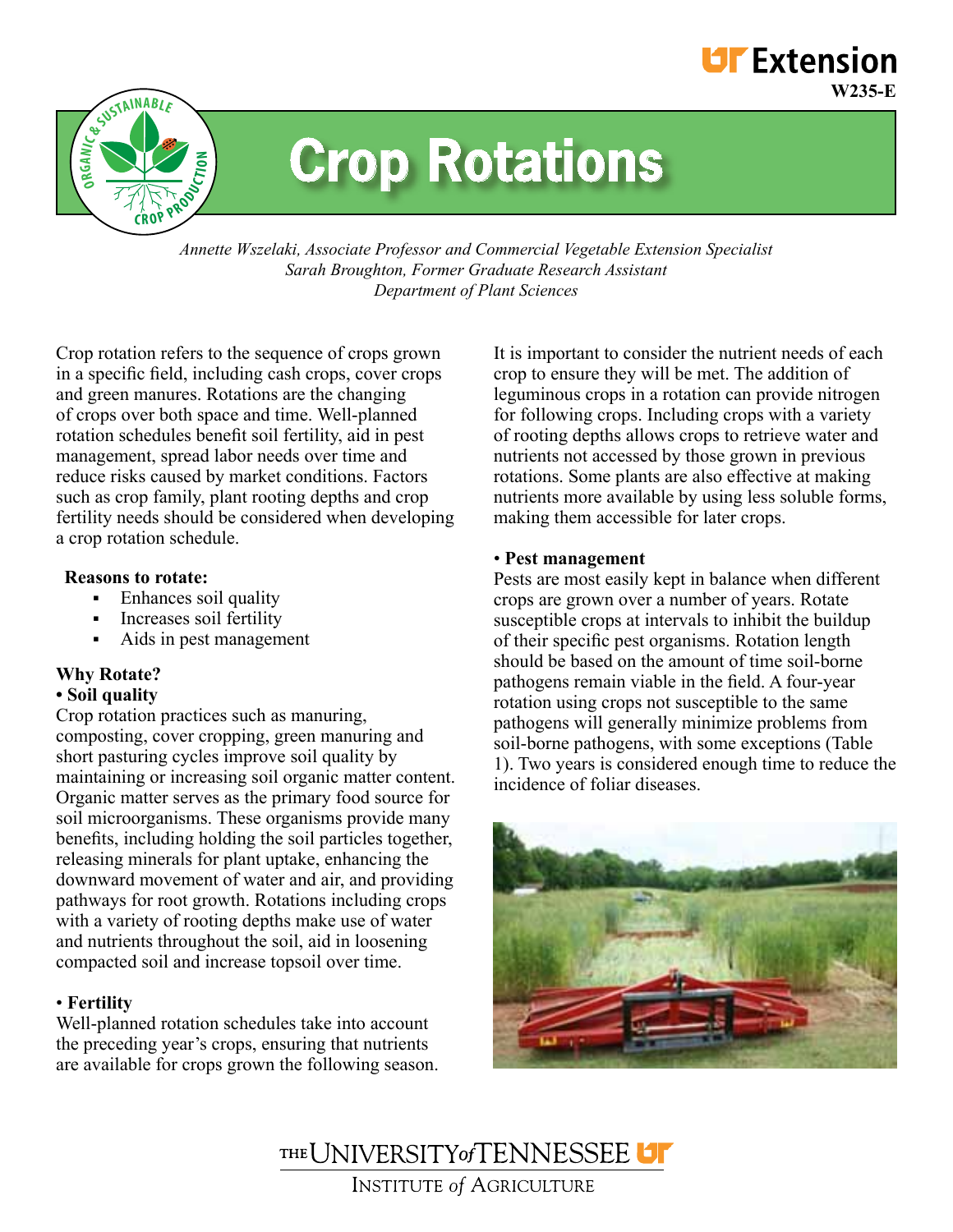

# **Crop Rotations**

*Annette Wszelaki, Associate Professor and Commercial Vegetable Extension Specialist Sarah Broughton, Former Graduate Research Assistant Department of Plant Sciences*

Crop rotation refers to the sequence of crops grown in a specific field, including cash crops, cover crops and green manures. Rotations are the changing of crops over both space and time. Well-planned rotation schedules benefit soil fertility, aid in pest management, spread labor needs over time and reduce risks caused by market conditions. Factors such as crop family, plant rooting depths and crop fertility needs should be considered when developing a crop rotation schedule.

# **Reasons to rotate:**

- Enhances soil quality
- **Increases soil fertility**
- Aids in pest management

# **Why Rotate?**

# **• Soil quality**

Crop rotation practices such as manuring, composting, cover cropping, green manuring and short pasturing cycles improve soil quality by maintaining or increasing soil organic matter content. Organic matter serves as the primary food source for soil microorganisms. These organisms provide many benefits, including holding the soil particles together, releasing minerals for plant uptake, enhancing the downward movement of water and air, and providing pathways for root growth. Rotations including crops with a variety of rooting depths make use of water and nutrients throughout the soil, aid in loosening compacted soil and increase topsoil over time.

# • **Fertility**

Well-planned rotation schedules take into account the preceding year's crops, ensuring that nutrients are available for crops grown the following season.

It is important to consider the nutrient needs of each crop to ensure they will be met. The addition of leguminous crops in a rotation can provide nitrogen for following crops. Including crops with a variety of rooting depths allows crops to retrieve water and nutrients not accessed by those grown in previous rotations. Some plants are also effective at making nutrients more available by using less soluble forms, making them accessible for later crops.

**W235-E**

**UF** Extension

## • **Pest management**

Pests are most easily kept in balance when different crops are grown over a number of years. Rotate susceptible crops at intervals to inhibit the buildup of their specific pest organisms. Rotation length should be based on the amount of time soil-borne pathogens remain viable in the field. A four-year rotation using crops not susceptible to the same pathogens will generally minimize problems from soil-borne pathogens, with some exceptions (Table 1). Two years is considered enough time to reduce the incidence of foliar diseases.



THE UNIVERSITY of TENNESSEE **INSTITUTE of AGRICULTURE**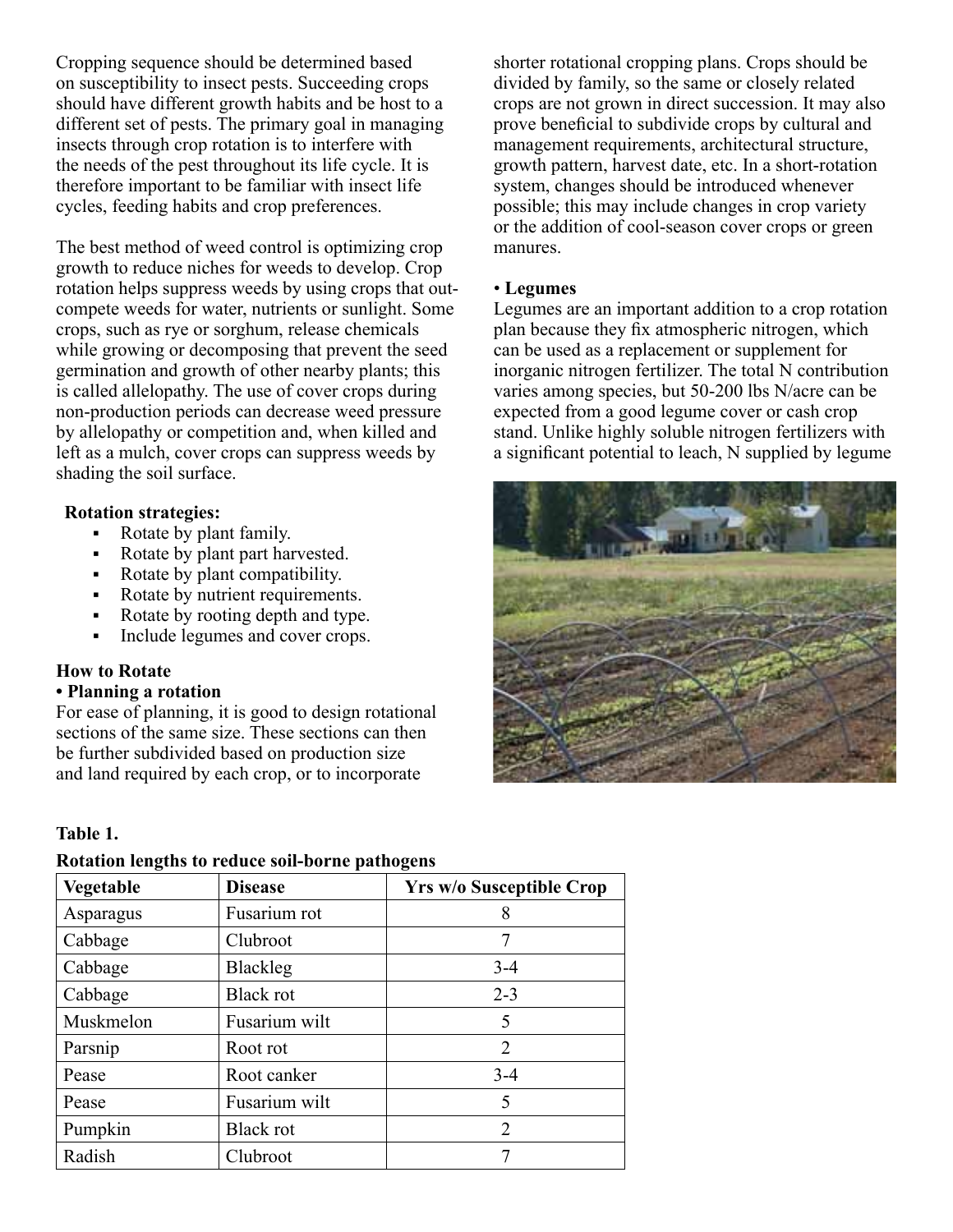Cropping sequence should be determined based on susceptibility to insect pests. Succeeding crops should have different growth habits and be host to a different set of pests. The primary goal in managing insects through crop rotation is to interfere with the needs of the pest throughout its life cycle. It is therefore important to be familiar with insect life cycles, feeding habits and crop preferences.

The best method of weed control is optimizing crop growth to reduce niches for weeds to develop. Crop rotation helps suppress weeds by using crops that outcompete weeds for water, nutrients or sunlight. Some crops, such as rye or sorghum, release chemicals while growing or decomposing that prevent the seed germination and growth of other nearby plants; this is called allelopathy. The use of cover crops during non-production periods can decrease weed pressure by allelopathy or competition and, when killed and left as a mulch, cover crops can suppress weeds by shading the soil surface.

# **Rotation strategies:**

- Rotate by plant family.
- Rotate by plant part harvested.
- Rotate by plant compatibility.
- Rotate by nutrient requirements.
- Rotate by rooting depth and type.
- Include legumes and cover crops.

## **How to Rotate**

#### **• Planning a rotation**

For ease of planning, it is good to design rotational sections of the same size. These sections can then be further subdivided based on production size and land required by each crop, or to incorporate

# **Table 1.**

## **Rotation lengths to reduce soil-borne pathogens**

| Vegetable | <b>Disease</b>   | <b>Yrs w/o Susceptible Crop</b> |
|-----------|------------------|---------------------------------|
| Asparagus | Fusarium rot     | 8                               |
| Cabbage   | Clubroot         |                                 |
| Cabbage   | <b>Blackleg</b>  | $3 - 4$                         |
| Cabbage   | <b>Black rot</b> | $2 - 3$                         |
| Muskmelon | Fusarium wilt    | 5                               |
| Parsnip   | Root rot         | 2                               |
| Pease     | Root canker      | $3 - 4$                         |
| Pease     | Fusarium wilt    | 5                               |
| Pumpkin   | <b>Black rot</b> | 2                               |
| Radish    | Clubroot         |                                 |

shorter rotational cropping plans. Crops should be divided by family, so the same or closely related crops are not grown in direct succession. It may also prove beneficial to subdivide crops by cultural and management requirements, architectural structure, growth pattern, harvest date, etc. In a short-rotation system, changes should be introduced whenever possible; this may include changes in crop variety or the addition of cool-season cover crops or green manures.

#### • **Legumes**

Legumes are an important addition to a crop rotation plan because they fix atmospheric nitrogen, which can be used as a replacement or supplement for inorganic nitrogen fertilizer. The total N contribution varies among species, but 50-200 lbs N/acre can be expected from a good legume cover or cash crop stand. Unlike highly soluble nitrogen fertilizers with a significant potential to leach, N supplied by legume

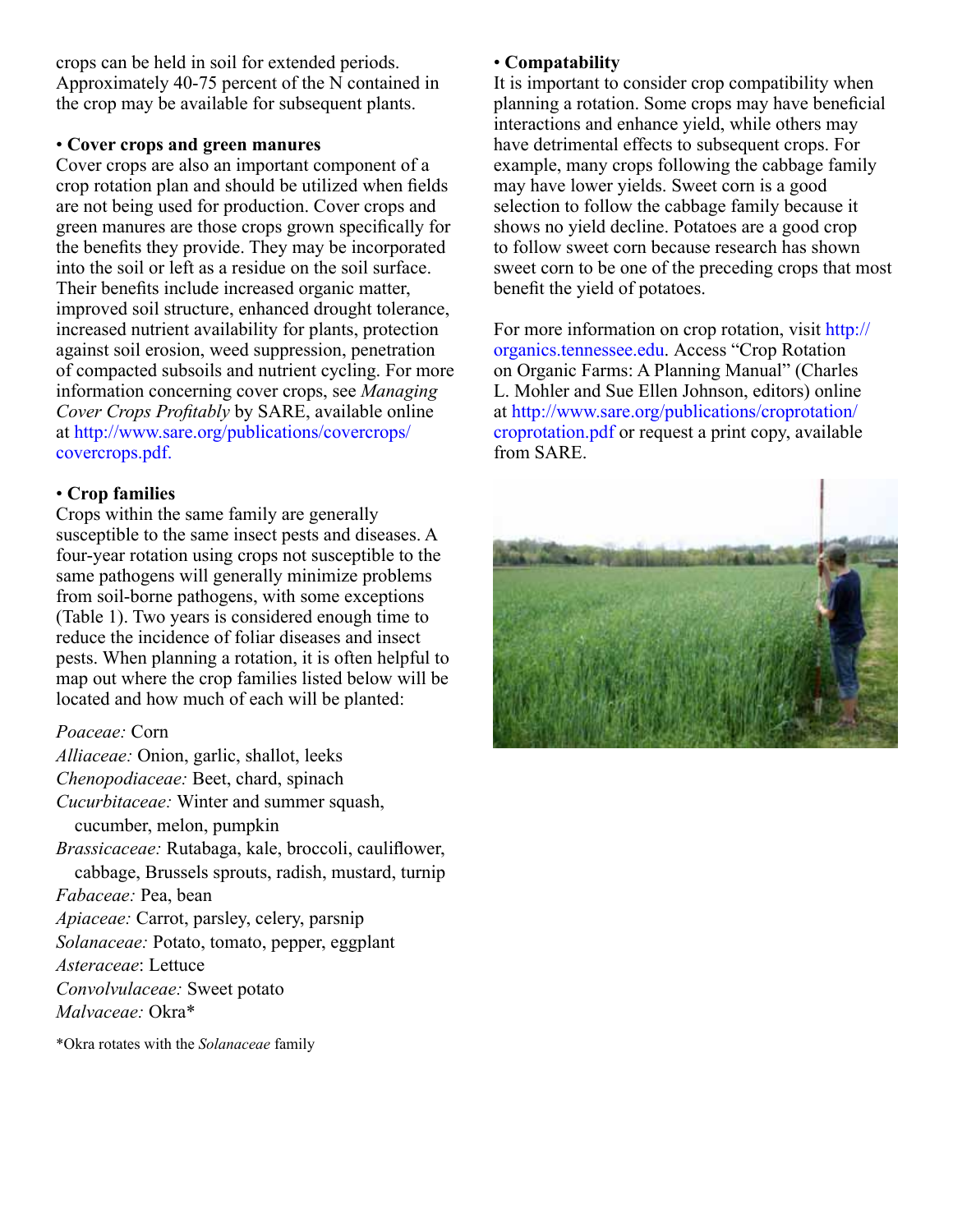crops can be held in soil for extended periods. Approximately 40-75 percent of the N contained in the crop may be available for subsequent plants.

# • **Cover crops and green manures**

Cover crops are also an important component of a crop rotation plan and should be utilized when fields are not being used for production. Cover crops and green manures are those crops grown specifically for the benefits they provide. They may be incorporated into the soil or left as a residue on the soil surface. Their benefits include increased organic matter, improved soil structure, enhanced drought tolerance, increased nutrient availability for plants, protection against soil erosion, weed suppression, penetration of compacted subsoils and nutrient cycling. For more information concerning cover crops, see *Managing Cover Crops Profitably* by SARE, available online at http://www.sare.org/publications/covercrops/ covercrops.pdf.

# • **Crop families**

Crops within the same family are generally susceptible to the same insect pests and diseases. A four-year rotation using crops not susceptible to the same pathogens will generally minimize problems from soil-borne pathogens, with some exceptions (Table 1). Two years is considered enough time to reduce the incidence of foliar diseases and insect pests. When planning a rotation, it is often helpful to map out where the crop families listed below will be located and how much of each will be planted:

# *Poaceae:* Corn

*Alliaceae:* Onion, garlic, shallot, leeks *Chenopodiaceae:* Beet, chard, spinach *Cucurbitaceae:* Winter and summer squash, cucumber, melon, pumpkin *Brassicaceae:* Rutabaga, kale, broccoli, cauliflower, cabbage, Brussels sprouts, radish, mustard, turnip *Fabaceae:* Pea, bean *Apiaceae:* Carrot, parsley, celery, parsnip *Solanaceae:* Potato, tomato, pepper, eggplant *Asteraceae*: Lettuce *Convolvulaceae:* Sweet potato *Malvaceae:* Okra\*

\*Okra rotates with the *Solanaceae* family

# • **Compatability**

It is important to consider crop compatibility when planning a rotation. Some crops may have beneficial interactions and enhance yield, while others may have detrimental effects to subsequent crops. For example, many crops following the cabbage family may have lower yields. Sweet corn is a good selection to follow the cabbage family because it shows no yield decline. Potatoes are a good crop to follow sweet corn because research has shown sweet corn to be one of the preceding crops that most benefit the yield of potatoes.

For more information on crop rotation, visit http:// organics.tennessee.edu. Access "Crop Rotation on Organic Farms: A Planning Manual" (Charles L. Mohler and Sue Ellen Johnson, editors) online at http://www.sare.org/publications/croprotation/ croprotation.pdf or request a print copy, available from SARE.